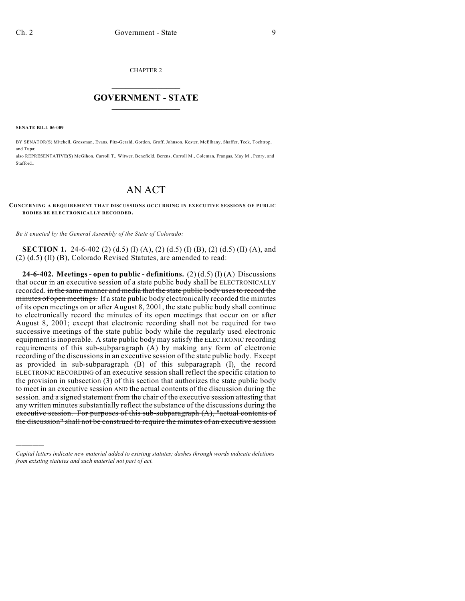CHAPTER 2

## $\overline{\phantom{a}}$  . The set of the set of the set of the set of the set of the set of the set of the set of the set of the set of the set of the set of the set of the set of the set of the set of the set of the set of the set o **GOVERNMENT - STATE**  $\_$

**SENATE BILL 06-009**

)))))

BY SENATOR(S) Mitchell, Grossman, Evans, Fitz-Gerald, Gordon, Groff, Johnson, Kester, McElhany, Shaffer, Teck, Tochtrop, and Tupa;

also REPRESENTATIVE(S) McGihon, Carroll T., Witwer, Benefield, Berens, Carroll M., Coleman, Frangas, May M., Penry, and Stafford.

## AN ACT

## **CONCERNING A REQUIREMENT THAT DISCUSSIONS OCCURRING IN EXECUTIVE SESSIONS OF PUBLIC BODIES BE ELECTRONICALLY RECORDED.**

*Be it enacted by the General Assembly of the State of Colorado:*

**SECTION 1.** 24-6-402 (2) (d.5) (I) (A), (2) (d.5) (I) (B), (2) (d.5) (II) (A), and (2) (d.5) (II) (B), Colorado Revised Statutes, are amended to read:

**24-6-402. Meetings - open to public - definitions.** (2)  $(d.5)$  (I) (A) Discussions that occur in an executive session of a state public body shall be ELECTRONICALLY recorded. in the same manner and media that the state public body uses to record the minutes of open meetings. If a state public body electronically recorded the minutes of its open meetings on or after August 8, 2001, the state public body shall continue to electronically record the minutes of its open meetings that occur on or after August 8, 2001; except that electronic recording shall not be required for two successive meetings of the state public body while the regularly used electronic equipment is inoperable. A state public body may satisfy the ELECTRONIC recording requirements of this sub-subparagraph (A) by making any form of electronic recording of the discussions in an executive session of the state public body. Except as provided in sub-subparagraph (B) of this subparagraph (I), the record ELECTRONIC RECORDING of an executive session shall reflect the specific citation to the provision in subsection (3) of this section that authorizes the state public body to meet in an executive session AND the actual contents of the discussion during the session. and a signed statement from the chair of the executive session attesting that any written minutes substantially reflect the substance of the discussions during the executive session. For purposes of this sub-subparagraph (A), "actual contents of the discussion" shall not be construed to require the minutes of an executive session

*Capital letters indicate new material added to existing statutes; dashes through words indicate deletions from existing statutes and such material not part of act.*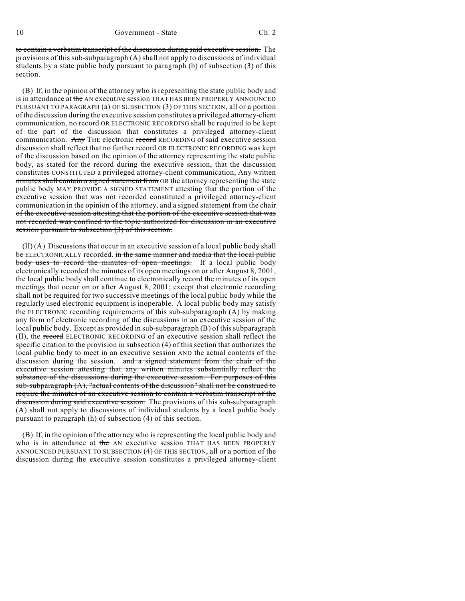to contain a verbatim transcript of the discussion during said executive session. The provisions of this sub-subparagraph (A) shall not apply to discussions of individual students by a state public body pursuant to paragraph (b) of subsection (3) of this section.

(B) If, in the opinion of the attorney who is representing the state public body and is in attendance at the AN executive session THAT HAS BEEN PROPERLY ANNOUNCED PURSUANT TO PARAGRAPH (a) OF SUBSECTION (3) OF THIS SECTION, all or a portion of the discussion during the executive session constitutes a privileged attorney-client communication, no record OR ELECTRONIC RECORDING shall be required to be kept of the part of the discussion that constitutes a privileged attorney-client communication. Any THE electronic record RECORDING of said executive session discussion shall reflect that no further record OR ELECTRONIC RECORDING was kept of the discussion based on the opinion of the attorney representing the state public body, as stated for the record during the executive session, that the discussion constitutes CONSTITUTED a privileged attorney-client communication, Any written minutes shall contain a signed statement from OR the attorney representing the state public body MAY PROVIDE A SIGNED STATEMENT attesting that the portion of the executive session that was not recorded constituted a privileged attorney-client communication in the opinion of the attorney. and a signed statement from the chair of the executive session attesting that the portion of the executive session that was not recorded was confined to the topic authorized for discussion in an executive session pursuant to subsection (3) of this section.

(II) (A) Discussions that occur in an executive session of a local public body shall be ELECTRONICALLY recorded. in the same manner and media that the local public body uses to record the minutes of open meetings. If a local public body electronically recorded the minutes of its open meetings on or after August 8, 2001, the local public body shall continue to electronically record the minutes of its open meetings that occur on or after August 8, 2001; except that electronic recording shall not be required for two successive meetings of the local public body while the regularly used electronic equipment is inoperable. A local public body may satisfy the ELECTRONIC recording requirements of this sub-subparagraph (A) by making any form of electronic recording of the discussions in an executive session of the local public body. Except as provided in sub-subparagraph (B) of this subparagraph (II), the record ELECTRONIC RECORDING of an executive session shall reflect the specific citation to the provision in subsection (4) of this section that authorizes the local public body to meet in an executive session AND the actual contents of the discussion during the session. and a signed statement from the chair of the executive session attesting that any written minutes substantially reflect the substance of the discussions during the executive session. For purposes of this  $sub-subparagraph (A), "actual contents of the discussion" shall not be constructed to$ require the minutes of an executive session to contain a verbatim transcript of the discussion during said executive session. The provisions of this sub-subparagraph (A) shall not apply to discussions of individual students by a local public body pursuant to paragraph (h) of subsection (4) of this section.

(B) If, in the opinion of the attorney who is representing the local public body and who is in attendance at the AN executive session THAT HAS BEEN PROPERLY ANNOUNCED PURSUANT TO SUBSECTION (4) OF THIS SECTION, all or a portion of the discussion during the executive session constitutes a privileged attorney-client